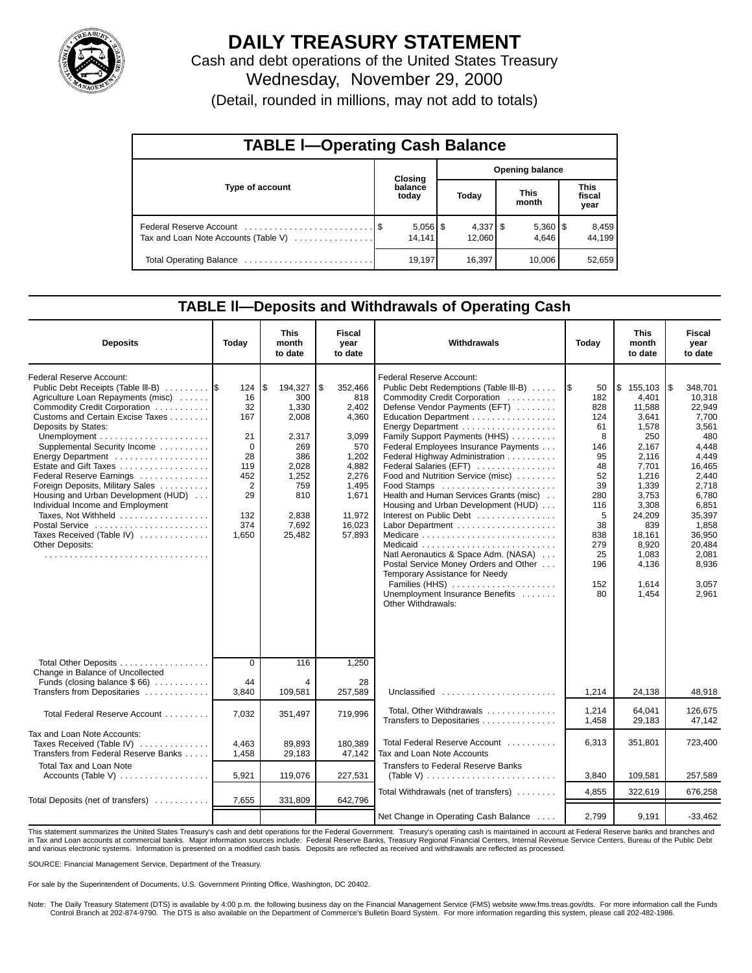

# **DAILY TREASURY STATEMENT**

Cash and debt operations of the United States Treasury Wednesday, November 29, 2000 (Detail, rounded in millions, may not add to totals)

| <b>TABLE I-Operating Cash Balance</b> |  |                  |                        |        |  |                       |  |                               |  |
|---------------------------------------|--|------------------|------------------------|--------|--|-----------------------|--|-------------------------------|--|
|                                       |  | Closing          | <b>Opening balance</b> |        |  |                       |  |                               |  |
| Type of account                       |  | balance<br>today |                        | Today  |  | <b>This</b><br>month  |  | <b>This</b><br>fiscal<br>year |  |
| Tax and Loan Note Accounts (Table V)  |  | 14.141           |                        | 12.060 |  | $5,360$   \$<br>4.646 |  | 8,459<br>44.199               |  |
|                                       |  | 19,197           |                        | 16,397 |  | 10.006                |  | 52,659                        |  |

### **TABLE ll—Deposits and Withdrawals of Operating Cash**

| <b>Deposits</b>                                                                                                                                                                                                                                                                                                                                                                                                                                                                                                                 | Today                                                                                                          | This<br>month<br>to date                                                                                                   | <b>Fiscal</b><br>year<br>to date                                                                                                  | Withdrawals                                                                                                                                                                                                                                                                                                                                                                                                                                                                                                                                                                                                                                                                                | Today                                                                                                                              | This<br>month<br>to date                                                                                                                                                                     | Fiscal<br>year<br>to date                                                                                                                                                                             |
|---------------------------------------------------------------------------------------------------------------------------------------------------------------------------------------------------------------------------------------------------------------------------------------------------------------------------------------------------------------------------------------------------------------------------------------------------------------------------------------------------------------------------------|----------------------------------------------------------------------------------------------------------------|----------------------------------------------------------------------------------------------------------------------------|-----------------------------------------------------------------------------------------------------------------------------------|--------------------------------------------------------------------------------------------------------------------------------------------------------------------------------------------------------------------------------------------------------------------------------------------------------------------------------------------------------------------------------------------------------------------------------------------------------------------------------------------------------------------------------------------------------------------------------------------------------------------------------------------------------------------------------------------|------------------------------------------------------------------------------------------------------------------------------------|----------------------------------------------------------------------------------------------------------------------------------------------------------------------------------------------|-------------------------------------------------------------------------------------------------------------------------------------------------------------------------------------------------------|
| <b>Federal Reserve Account:</b><br>Public Debt Receipts (Table III-B)<br>Agriculture Loan Repayments (misc)<br>Commodity Credit Corporation<br>Customs and Certain Excise Taxes<br>Deposits by States:<br>Supplemental Security Income<br>Energy Department<br>Estate and Gift Taxes<br>Federal Reserve Earnings<br>Foreign Deposits, Military Sales<br>Housing and Urban Development (HUD)<br>Individual Income and Employment<br>Taxes, Not Withheld<br>Postal Service<br>Taxes Received (Table IV)<br><b>Other Deposits:</b> | 124<br>16<br>32<br>167<br>21<br>$\mathbf 0$<br>28<br>119<br>452<br>$\overline{2}$<br>29<br>132<br>374<br>1,650 | 194,327<br>۱\$<br>300<br>1,330<br>2,008<br>2,317<br>269<br>386<br>2,028<br>1,252<br>759<br>810<br>2,838<br>7,692<br>25,482 | \$<br>352,466<br>818<br>2,402<br>4,360<br>3.099<br>570<br>1,202<br>4,882<br>2,276<br>1,495<br>1,671<br>11,972<br>16,023<br>57,893 | <b>Federal Reserve Account:</b><br>Public Debt Redemptions (Table III-B)<br>Commodity Credit Corporation<br>Defense Vendor Payments (EFT)<br>Education Department<br>Energy Department<br>Family Support Payments (HHS)<br>Federal Employees Insurance Payments<br>Federal Highway Administration<br>Federal Salaries (EFT)<br>Food and Nutrition Service (misc)<br>Food Stamps<br>Health and Human Services Grants (misc)<br>Housing and Urban Development (HUD)<br>Interest on Public Debt<br>Natl Aeronautics & Space Adm. (NASA)<br>Postal Service Money Orders and Other<br>Temporary Assistance for Needy<br>Families (HHS)<br>Unemployment Insurance Benefits<br>Other Withdrawals: | 50<br>182<br>828<br>124<br>61<br>8<br>146<br>95<br>48<br>52<br>39<br>280<br>116<br>5<br>38<br>838<br>279<br>25<br>196<br>152<br>80 | \$155,103<br>4,401<br>11,588<br>3.641<br>1,578<br>250<br>2.167<br>2,116<br>7,701<br>1,216<br>1,339<br>3,753<br>3.308<br>24,209<br>839<br>18.161<br>8.920<br>1,083<br>4,136<br>1,614<br>1,454 | 348.701<br>\$<br>10,318<br>22,949<br>7,700<br>3,561<br>480<br>4.448<br>4,449<br>16,465<br>2,440<br>2.718<br>6.780<br>6.851<br>35,397<br>1.858<br>36.950<br>20.484<br>2,081<br>8,936<br>3,057<br>2,961 |
| Total Other Deposits<br>Change in Balance of Uncollected<br>Funds (closing balance $$66$ )                                                                                                                                                                                                                                                                                                                                                                                                                                      | $\Omega$<br>44                                                                                                 | 116<br>4                                                                                                                   | 1,250<br>28                                                                                                                       |                                                                                                                                                                                                                                                                                                                                                                                                                                                                                                                                                                                                                                                                                            |                                                                                                                                    |                                                                                                                                                                                              |                                                                                                                                                                                                       |
| Transfers from Depositaries                                                                                                                                                                                                                                                                                                                                                                                                                                                                                                     | 3,840                                                                                                          | 109,581                                                                                                                    | 257,589                                                                                                                           | Unclassified                                                                                                                                                                                                                                                                                                                                                                                                                                                                                                                                                                                                                                                                               | 1,214                                                                                                                              | 24,138                                                                                                                                                                                       | 48,918                                                                                                                                                                                                |
| Total Federal Reserve Account                                                                                                                                                                                                                                                                                                                                                                                                                                                                                                   | 7,032                                                                                                          | 351,497                                                                                                                    | 719,996                                                                                                                           | Total, Other Withdrawals<br>Transfers to Depositaries                                                                                                                                                                                                                                                                                                                                                                                                                                                                                                                                                                                                                                      | 1,214<br>1,458                                                                                                                     | 64.041<br>29,183                                                                                                                                                                             | 126.675<br>47.142                                                                                                                                                                                     |
| Tax and Loan Note Accounts:<br>Taxes Received (Table IV)<br>Transfers from Federal Reserve Banks                                                                                                                                                                                                                                                                                                                                                                                                                                | 4,463<br>1,458                                                                                                 | 89,893<br>29,183                                                                                                           | 180,389<br>47,142                                                                                                                 | Total Federal Reserve Account<br>Tax and Loan Note Accounts                                                                                                                                                                                                                                                                                                                                                                                                                                                                                                                                                                                                                                | 6,313                                                                                                                              | 351,801                                                                                                                                                                                      | 723,400                                                                                                                                                                                               |
| Total Tax and Loan Note<br>Accounts (Table V) $\ldots$                                                                                                                                                                                                                                                                                                                                                                                                                                                                          | 5,921                                                                                                          | 119,076                                                                                                                    | 227,531                                                                                                                           | <b>Transfers to Federal Reserve Banks</b>                                                                                                                                                                                                                                                                                                                                                                                                                                                                                                                                                                                                                                                  | 3,840                                                                                                                              | 109,581                                                                                                                                                                                      | 257.589                                                                                                                                                                                               |
|                                                                                                                                                                                                                                                                                                                                                                                                                                                                                                                                 |                                                                                                                |                                                                                                                            |                                                                                                                                   | Total Withdrawals (net of transfers)                                                                                                                                                                                                                                                                                                                                                                                                                                                                                                                                                                                                                                                       | 4,855                                                                                                                              | 322,619                                                                                                                                                                                      | 676,258                                                                                                                                                                                               |
| Total Deposits (net of transfers)                                                                                                                                                                                                                                                                                                                                                                                                                                                                                               | 7,655                                                                                                          | 331,809                                                                                                                    | 642,796                                                                                                                           | Net Change in Operating Cash Balance                                                                                                                                                                                                                                                                                                                                                                                                                                                                                                                                                                                                                                                       | 2.799                                                                                                                              | 9,191                                                                                                                                                                                        | $-33.462$                                                                                                                                                                                             |

This statement summarizes the United States Treasury's cash and debt operations for the Federal Government. Treasury's operating cash is maintained in account at Federal Reserve banks and branches and<br>in Tax and Loan accou and various electronic systems. Information is presented on a modified cash basis. Deposits are reflected as received and withdrawals are reflected as processed.

SOURCE: Financial Management Service, Department of the Treasury.

For sale by the Superintendent of Documents, U.S. Government Printing Office, Washington, DC 20402.

Note: The Daily Treasury Statement (DTS) is available by 4:00 p.m. the following business day on the Financial Management Service (FMS) website www.fms.treas.gov/dts. For more information call the Funds Control Branch at 202-874-9790. The DTS is also available on the Department of Commerce's Bulletin Board System. For more information regarding this system, please call 202-482-1986.